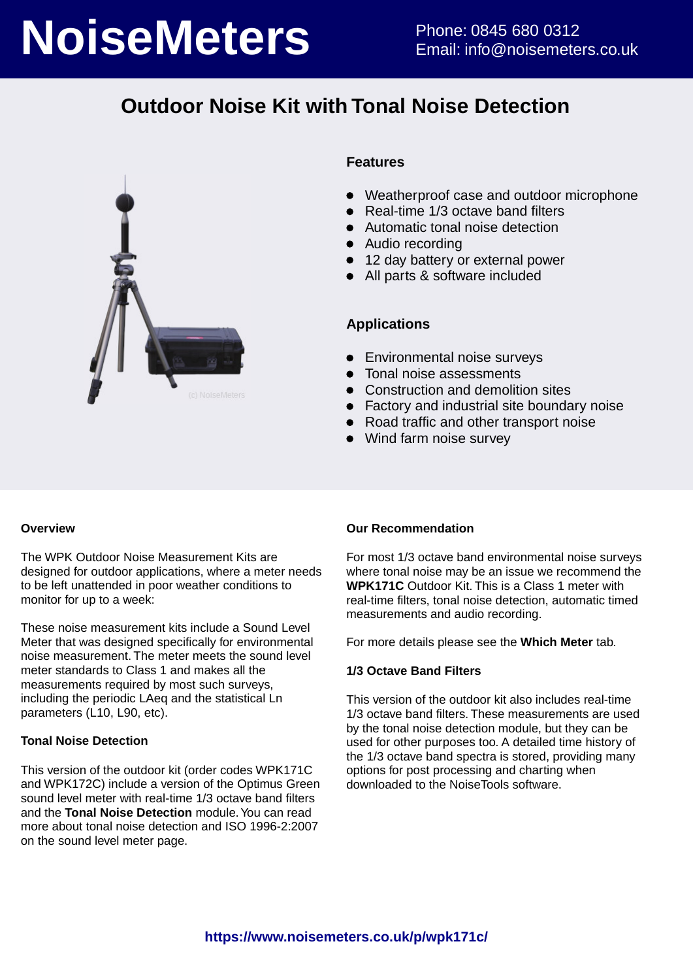# **NoiseMeters** Phone: 0845 680 0312

## **Outdoor Noise Kit with Tonal Noise Detection**



#### **Features**

- Weatherproof case and outdoor microphone
- Real-time 1/3 octave band filters
- Automatic tonal noise detection
- Audio recording
- 12 day battery or external power
- All parts & software included

#### **Applications**

- **•** Environmental noise surveys
- Tonal noise assessments
- Construction and demolition sites
- Factory and industrial site boundary noise
- Road traffic and other transport noise
- Wind farm noise survey

#### **Overview**

The WPK Outdoor Noise Measurement Kits are designed for outdoor applications, where a meter needs to be left unattended in poor weather conditions to monitor for up to a week:

These noise measurement kits include a Sound Level Meter that was designed specifically for environmental noise measurement. The meter meets the sound level meter standards to Class 1 and makes all the measurements required by most such surveys, including the periodic LAeq and the statistical Ln parameters (L10, L90, etc).

#### **Tonal Noise Detection**

This version of the outdoor kit (order codes WPK171C and WPK172C) include a version of the Optimus Green sound level meter with real-time 1/3 octave band filters and the **Tonal Noise Detection** module. You can read more about tonal noise detection and ISO 1996-2:2007 on the sound level meter page.

#### **Our Recommendation**

For most 1/3 octave band environmental noise surveys where tonal noise may be an issue we recommend the **WPK171C** Outdoor Kit. This is a Class 1 meter with real-time filters, tonal noise detection, automatic timed measurements and audio recording.

For more details please see the **Which Meter** tab.

#### **1/3 Octave Band Filters**

This version of the outdoor kit also includes real-time 1/3 octave band filters. These measurements are used by the tonal noise detection module, but they can be used for other purposes too. A detailed time history of the 1/3 octave band spectra is stored, providing many options for post processing and charting when downloaded to the NoiseTools software.